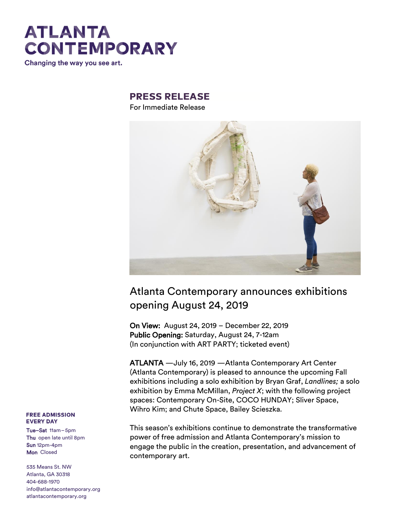Changing the way you see art.

### **PRESS RELEASE**

For Immediate Release



### Atlanta Contemporary announces exhibitions opening August 24, 2019

On View: August 24, 2019 – December 22, 2019 Public Opening: Saturday, August 24, 7-12am (In conjunction with ART PARTY; ticketed event)

ATLANTA —July 16, 2019 —Atlanta Contemporary Art Center (Atlanta Contemporary) is pleased to announce the upcoming Fall exhibitions including a solo exhibition by Bryan Graf, *Landlines;* a solo exhibition by Emma McMillan, *Project X*; with the following project spaces: Contemporary On-Site, COCO HUNDAY; Sliver Space, Wihro Kim; and Chute Space, Bailey Scieszka.

This season's exhibitions continue to demonstrate the transformative power of free admission and Atlanta Contemporary's mission to engage the public in the creation, presentation, and advancement of contemporary art.

#### **FREE ADMISSION EVERY DAY**

Tue–Sat 11am–5pm Thu open late until 8pm Sun 12pm-4pm Mon Closed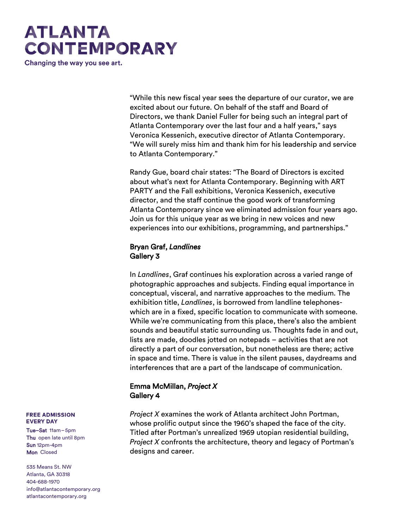Changing the way you see art.

"While this new fiscal year sees the departure of our curator, we are excited about our future. On behalf of the staff and Board of Directors, we thank Daniel Fuller for being such an integral part of Atlanta Contemporary over the last four and a half years," says Veronica Kessenich, executive director of Atlanta Contemporary. "We will surely miss him and thank him for his leadership and service to Atlanta Contemporary."

Randy Gue, board chair states: "The Board of Directors is excited about what's next for Atlanta Contemporary. Beginning with ART PARTY and the Fall exhibitions, Veronica Kessenich, executive director, and the staff continue the good work of transforming Atlanta Contemporary since we eliminated admission four years ago. Join us for this unique year as we bring in new voices and new experiences into our exhibitions, programming, and partnerships."

### Bryan Graf, *Landlines*  Gallery 3

In *Landlines*, Graf continues his exploration across a varied range of photographic approaches and subjects. Finding equal importance in conceptual, visceral, and narrative approaches to the medium. The exhibition title, *Landlines*, is borrowed from landline telephoneswhich are in a fixed, specific location to communicate with someone. While we're communicating from this place, there's also the ambient sounds and beautiful static surrounding us. Thoughts fade in and out, lists are made, doodles jotted on notepads – activities that are not directly a part of our conversation, but nonetheless are there; active in space and time. There is value in the silent pauses, daydreams and interferences that are a part of the landscape of communication.

### Emma McMillan, *Project X* Gallery 4

*Project X* examines the work of Atlanta architect John Portman, whose prolific output since the 1960's shaped the face of the city. Titled after Portman's unrealized 1969 utopian residential building, *Project X* confronts the architecture, theory and legacy of Portman's designs and career.

#### **FREE ADMISSION EVERY DAY**

Tue–Sat 11am–5pm Thu open late until 8pm Sun 12pm-4pm Mon Closed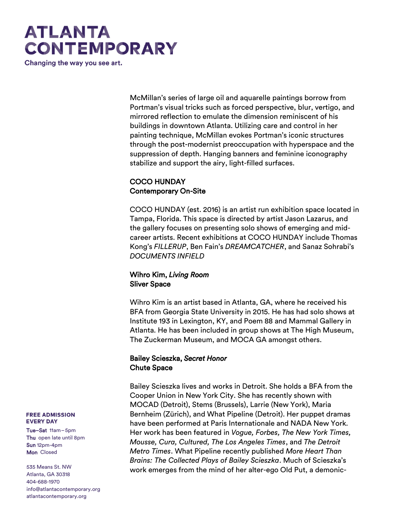Changing the way you see art.

McMillan's series of large oil and aquarelle paintings borrow from Portman's visual tricks such as forced perspective, blur, vertigo, and mirrored reflection to emulate the dimension reminiscent of his buildings in downtown Atlanta. Utilizing care and control in her painting technique, McMillan evokes Portman's iconic structures through the post-modernist preoccupation with hyperspace and the suppression of depth. Hanging banners and feminine iconography stabilize and support the airy, light-filled surfaces.

### COCO HUNDAY Contemporary On-Site

COCO HUNDAY (est. 2016) is an artist run exhibition space located in Tampa, Florida. This space is directed by artist Jason Lazarus, and the gallery focuses on presenting solo shows of emerging and midcareer artists. Recent exhibitions at COCO HUNDAY include Thomas Kong's *FILLERUP*, Ben Fain's *DREAMCATCHER*, and Sanaz Sohrabi's *DOCUMENTS INFIELD*

### Wihro Kim, *Living Room* Sliver Space

Wihro Kim is an artist based in Atlanta, GA, where he received his BFA from Georgia State University in 2015. He has had solo shows at Institute 193 in Lexington, KY, and Poem 88 and Mammal Gallery in Atlanta. He has been included in group shows at The High Museum, The Zuckerman Museum, and MOCA GA amongst others.

### Bailey Scieszka, *Secret Honor*  Chute Space

Bailey Scieszka lives and works in Detroit. She holds a BFA from the Cooper Union in New York City. She has recently shown with MOCAD (Detroit), Stems (Brussels), Larrie (New York), Maria Bernheim (Zürich), and What Pipeline (Detroit). Her puppet dramas have been performed at Paris Internationale and NADA New York. Her work has been featured in *Vogue, Forbes, The New York Times, Mousse, Cura, Cultured, The Los Angeles Times*, and *The Detroit Metro Times*. What Pipeline recently published *More Heart Than Brains: The Collected Plays of Bailey Scieszka*. Much of Scieszka's work emerges from the mind of her alter-ego Old Put, a demonic-

#### **FREE ADMISSION EVERY DAY**

Tue–Sat 11am–5pm Thu open late until 8pm Sun 12pm-4pm Mon Closed